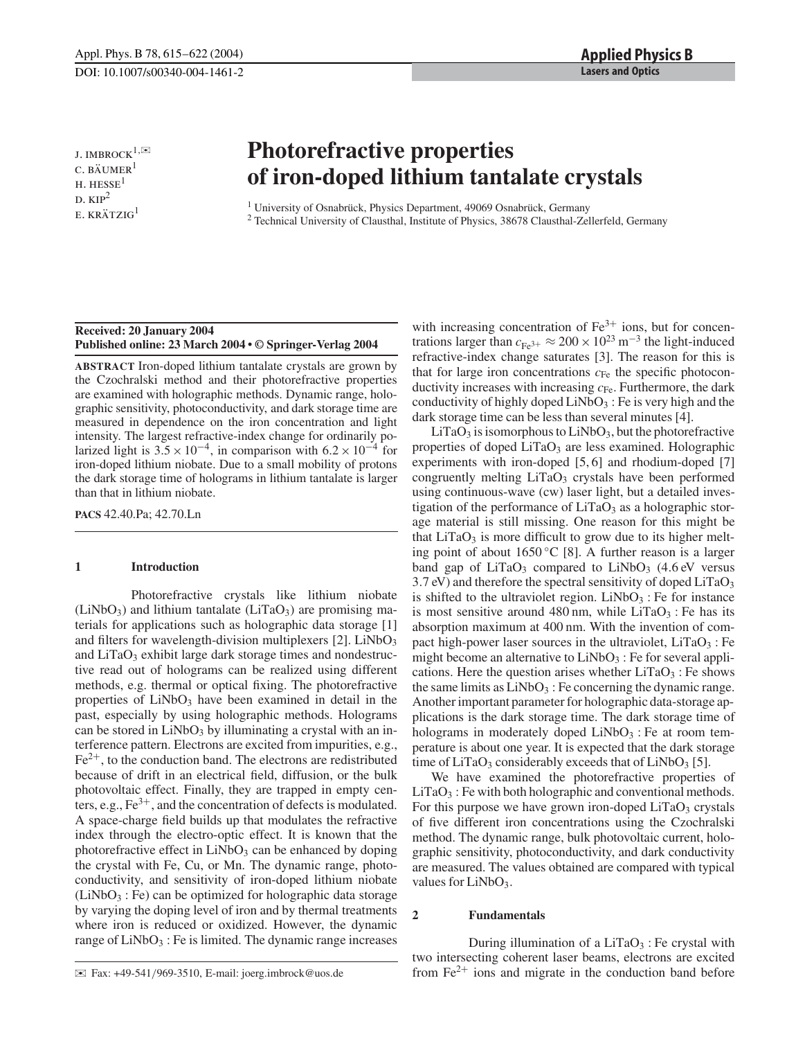J. IMBROCK<sup>1, $\mathbb{R}$ </sup>  $C. BÄUMER<sup>1</sup>$  $H.$  HESSE<sup>1</sup>  $D. KIP<sup>2</sup>$  $E.$  KRÄTZIG<sup>1</sup>

# **Photorefractive properties of iron-doped lithium tantalate crystals**

<sup>1</sup> University of Osnabrück, Physics Department, 49069 Osnabrück, Germany

<sup>2</sup> Technical University of Clausthal, Institute of Physics, 38678 Clausthal-Zellerfeld, Germany

# **Received: 20 January 2004 Published online: 23 March 2004 • © Springer-Verlag 2004**

**ABSTRACT** Iron-doped lithium tantalate crystals are grown by the Czochralski method and their photorefractive properties are examined with holographic methods. Dynamic range, holographic sensitivity, photoconductivity, and dark storage time are measured in dependence on the iron concentration and light intensity. The largest refractive-index change for ordinarily polarized light is  $3.5 \times 10^{-4}$ , in comparison with  $6.2 \times 10^{-4}$  for iron-doped lithium niobate. Due to a small mobility of protons the dark storage time of holograms in lithium tantalate is larger than that in lithium niobate.

**PACS** 42.40.Pa; 42.70.Ln

### **1 Introduction**

Photorefractive crystals like lithium niobate  $(LiNbO<sub>3</sub>)$  and lithium tantalate  $(LiTaO<sub>3</sub>)$  are promising materials for applications such as holographic data storage [1] and filters for wavelength-division multiplexers  $[2]$ . LiNbO<sub>3</sub> and  $LiTaO<sub>3</sub>$  exhibit large dark storage times and nondestructive read out of holograms can be realized using different methods, e.g. thermal or optical fixing. The photorefractive properties of  $LiNbO<sub>3</sub>$  have been examined in detail in the past, especially by using holographic methods. Holograms can be stored in  $LiNbO<sub>3</sub>$  by illuminating a crystal with an interference pattern. Electrons are excited from impurities, e.g., Fe2+, to the conduction band. The electrons are redistributed because of drift in an electrical field, diffusion, or the bulk photovoltaic effect. Finally, they are trapped in empty centers, e.g.,  $Fe^{3+}$ , and the concentration of defects is modulated. A space-charge field builds up that modulates the refractive index through the electro-optic effect. It is known that the photorefractive effect in  $LiNbO<sub>3</sub>$  can be enhanced by doping the crystal with Fe, Cu, or Mn. The dynamic range, photoconductivity, and sensitivity of iron-doped lithium niobate  $(LiNbO<sub>3</sub>:Fe)$  can be optimized for holographic data storage by varying the doping level of iron and by thermal treatments where iron is reduced or oxidized. However, the dynamic range of  $LiNbO<sub>3</sub>$ : Fe is limited. The dynamic range increases with increasing concentration of  $Fe<sup>3+</sup>$  ions, but for concentrations larger than  $c_{\text{Fe}^{3+}} \approx 200 \times 10^{23} \text{ m}^{-3}$  the light-induced refractive-index change saturates [3]. The reason for this is that for large iron concentrations  $c_{Fe}$  the specific photoconductivity increases with increasing  $c_{Fe}$ . Furthermore, the dark conductivity of highly doped  $LiNbO<sub>3</sub>$ : Fe is very high and the dark storage time can be less than several minutes [4].

 $LiTaO<sub>3</sub>$  is isomorphous to  $LiNbO<sub>3</sub>$ , but the photorefractive properties of doped LiTaO<sub>3</sub> are less examined. Holographic experiments with iron-doped [5, 6] and rhodium-doped [7] congruently melting  $LiTaO<sub>3</sub>$  crystals have been performed using continuous-wave (cw) laser light, but a detailed investigation of the performance of  $LiTaO<sub>3</sub>$  as a holographic storage material is still missing. One reason for this might be that  $LiTaO<sub>3</sub>$  is more difficult to grow due to its higher melting point of about 1650 °C [8]. A further reason is a larger band gap of  $LiTaO_3$  compared to  $LiNbO_3$  (4.6 eV versus 3.7 eV) and therefore the spectral sensitivity of doped LiTaO<sub>3</sub> is shifted to the ultraviolet region.  $LiNbO<sub>3</sub>$ : Fe for instance is most sensitive around 480 nm, while  $LiTaO<sub>3</sub>$ : Fe has its absorption maximum at 400 nm. With the invention of compact high-power laser sources in the ultraviolet,  $LiTaO<sub>3</sub>$ : Fe might become an alternative to  $LiNbO<sub>3</sub>$ : Fe for several applications. Here the question arises whether  $LiTaO<sub>3</sub>$ : Fe shows the same limits as  $LiNbO<sub>3</sub>$ : Fe concerning the dynamic range. Another important parameter for holographic data-storage applications is the dark storage time. The dark storage time of holograms in moderately doped  $LiNbO<sub>3</sub>$ : Fe at room temperature is about one year. It is expected that the dark storage time of LiTaO<sub>3</sub> considerably exceeds that of LiNbO<sub>3</sub> [5].

We have examined the photorefractive properties of  $LiTaO<sub>3</sub>$ : Fe with both holographic and conventional methods. For this purpose we have grown iron-doped  $LiTaO<sub>3</sub>$  crystals of five different iron concentrations using the Czochralski method. The dynamic range, bulk photovoltaic current, holographic sensitivity, photoconductivity, and dark conductivity are measured. The values obtained are compared with typical values for  $LiNbO<sub>3</sub>$ .

# **2 Fundamentals**

During illumination of a  $LiTaO<sub>3</sub>$ : Fe crystal with two intersecting coherent laser beams, electrons are excited from  $Fe<sup>2+</sup>$  ions and migrate in the conduction band before

<sup>✉</sup> Fax: +49-541/969-3510, E-mail: joerg.imbrock@uos.de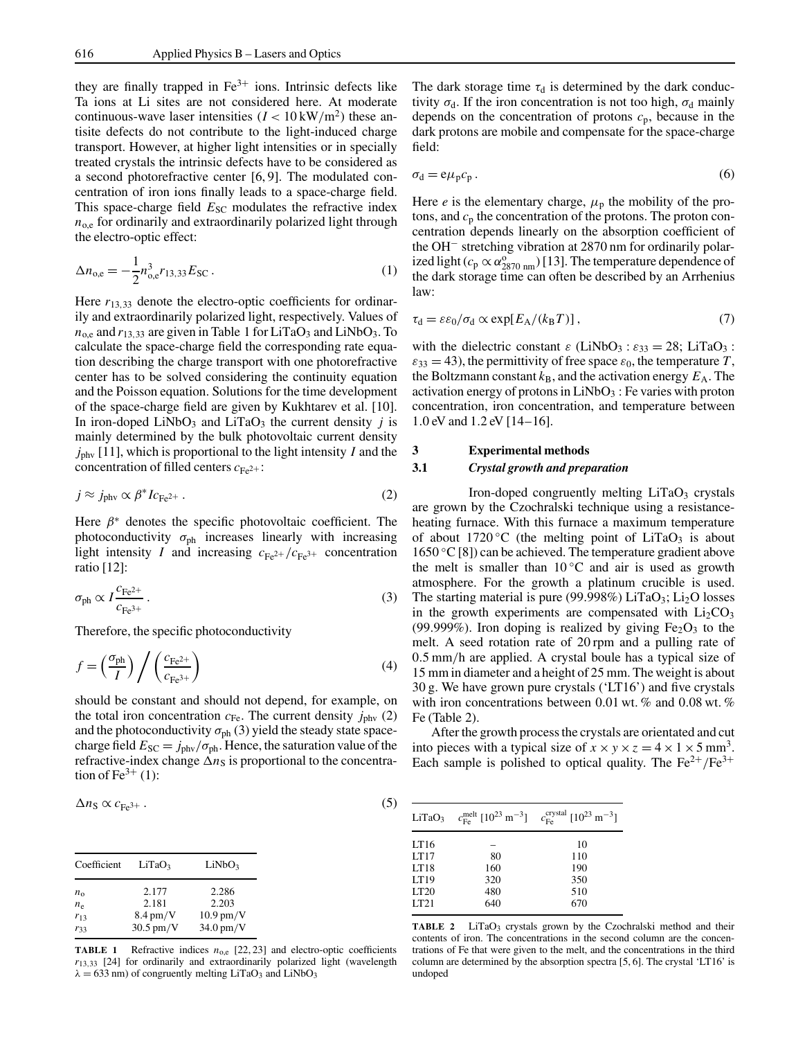they are finally trapped in  $Fe<sup>3+</sup>$  ions. Intrinsic defects like Ta ions at Li sites are not considered here. At moderate continuous-wave laser intensities  $(I < 10 \text{ kW/m}^2)$  these antisite defects do not contribute to the light-induced charge transport. However, at higher light intensities or in specially treated crystals the intrinsic defects have to be considered as a second photorefractive center [6, 9]. The modulated concentration of iron ions finally leads to a space-charge field. This space-charge field  $E_{SC}$  modulates the refractive index  $n_{o,e}$  for ordinarily and extraordinarily polarized light through the electro-optic effect:

$$
\Delta n_{\text{o,e}} = -\frac{1}{2} n_{\text{o,e}}^3 r_{13,33} E_{\text{SC}} \,. \tag{1}
$$

Here  $r_{13,33}$  denote the electro-optic coefficients for ordinarily and extraordinarily polarized light, respectively. Values of  $n_{o,e}$  and  $r_{13,33}$  are given in Table 1 for LiTaO<sub>3</sub> and LiNbO<sub>3</sub>. To calculate the space-charge field the corresponding rate equation describing the charge transport with one photorefractive center has to be solved considering the continuity equation and the Poisson equation. Solutions for the time development of the space-charge field are given by Kukhtarev et al. [10]. In iron-doped LiNbO<sub>3</sub> and LiTaO<sub>3</sub> the current density  $j$  is mainly determined by the bulk photovoltaic current density *j*phv [11], which is proportional to the light intensity *I* and the concentration of filled centers  $c_{Fe^{2+}}$ :

$$
j \approx j_{\text{phv}} \propto \beta^* I c_{\text{Fe}^{2+}} \,. \tag{2}
$$

Here  $\beta^*$  denotes the specific photovoltaic coefficient. The photoconductivity  $\sigma_{ph}$  increases linearly with increasing light intensity *I* and increasing  $c_{Fe^{2+}}/c_{Fe^{3+}}$  concentration ratio [12]:

$$
\sigma_{\rm ph} \propto I \frac{c_{\rm Fe^{2+}}}{c_{\rm Fe^{3+}}} \,. \tag{3}
$$

Therefore, the specific photoconductivity

$$
f = \left(\frac{\sigma_{\rm ph}}{I}\right) / \left(\frac{c_{\rm Fe^{2+}}}{c_{\rm Fe^{3+}}}\right)
$$
 (4)

should be constant and should not depend, for example, on the total iron concentration  $c_{Fe}$ . The current density  $j_{\text{phy}}(2)$ and the photoconductivity  $\sigma_{ph}$  (3) yield the steady state spacecharge field  $E_{SC} = j_{phv}/\sigma_{ph}$ . Hence, the saturation value of the refractive-index change  $\Delta n_S$  is proportional to the concentration of  $Fe<sup>3+</sup>$  (1):

$$
\Delta n_{\rm S} \propto c_{\rm Fe^{3+}} \,. \tag{5}
$$

| Coefficient  | LiTaO <sub>3</sub> | LiNbO <sub>3</sub>  |
|--------------|--------------------|---------------------|
| $n_{\Omega}$ | 2.177              | 2.286               |
| $n_{\rm e}$  | 2.181              | 2.203               |
| $r_{13}$     | $8.4 \text{ pm/V}$ | $10.9$ pm/V         |
| $r_{33}$     | $30.5$ pm/V        | $34.0 \text{ pm/V}$ |

**TABLE 1** Refractive indices  $n_{o,e}$  [22, 23] and electro-optic coefficients  $r_{13,33}$  [24] for ordinarily and extraordinarily polarized light (wavelength  $\lambda = 633$  nm) of congruently melting LiTaO<sub>3</sub> and LiNbO<sub>3</sub>

The dark storage time  $\tau_d$  is determined by the dark conductivity  $\sigma_d$ . If the iron concentration is not too high,  $\sigma_d$  mainly depends on the concentration of protons  $c_p$ , because in the dark protons are mobile and compensate for the space-charge field:

$$
\sigma_{\rm d} = e\mu_{\rm p}c_{\rm p} \,. \tag{6}
$$

Here *e* is the elementary charge,  $\mu_p$  the mobility of the protons, and  $c_p$  the concentration of the protons. The proton concentration depends linearly on the absorption coefficient of the OH− stretching vibration at 2870 nm for ordinarily polarized light ( $c_p \propto \alpha_{2870 \text{ nm}}^{\circ}$ ) [13]. The temperature dependence of the dark storage time can often be described by an Arrhenius law:

$$
\tau_{\rm d} = \varepsilon \varepsilon_0 / \sigma_{\rm d} \propto \exp[E_{\rm A}/(k_{\rm B}T)]\,,\tag{7}
$$

with the dielectric constant  $\varepsilon$  (LiNbO<sub>3</sub> :  $\varepsilon_{33} = 28$ ; LiTaO<sub>3</sub> :  $\varepsilon_{33} = 43$ ), the permittivity of free space  $\varepsilon_0$ , the temperature T, the Boltzmann constant  $k_B$ , and the activation energy  $E_A$ . The activation energy of protons in  $LiNbO<sub>3</sub>$ : Fe varies with proton concentration, iron concentration, and temperature between 1.0 eV and 1.2 eV [14–16].

#### **3 Experimental methods**

### **3.1** *Crystal growth and preparation*

Iron-doped congruently melting  $LiTaO<sub>3</sub>$  crystals are grown by the Czochralski technique using a resistanceheating furnace. With this furnace a maximum temperature of about 1720 °C (the melting point of LiTaO<sub>3</sub> is about  $1650 \degree C$  [8]) can be achieved. The temperature gradient above the melt is smaller than  $10\degree C$  and air is used as growth atmosphere. For the growth a platinum crucible is used. The starting material is pure (99.998%)  $LiTaO<sub>3</sub>$ ;  $Li<sub>2</sub>O$  losses in the growth experiments are compensated with  $Li<sub>2</sub>CO<sub>3</sub>$ (99.999%). Iron doping is realized by giving  $Fe<sub>2</sub>O<sub>3</sub>$  to the melt. A seed rotation rate of 20 rpm and a pulling rate of 0.5 mm/h are applied. A crystal boule has a typical size of 15 mm in diameter and a height of 25 mm. The weight is about 30 g. We have grown pure crystals ('LT16') and five crystals with iron concentrations between 0.01 wt. % and 0.08 wt. % Fe (Table 2).

After the growth process the crystals are orientated and cut into pieces with a typical size of  $x \times y \times z = 4 \times 1 \times 5$  mm<sup>3</sup>. Each sample is polished to optical quality. The  $Fe^{2+}/Fe^{3+}$ 

| LiTaO <sub>3</sub>                           | $c_{\text{Fe}}^{\text{melt}}$ [10 <sup>23</sup> m <sup>-3</sup> ] | $c_{\text{Fe}}^{\text{crystal}}$ [10 <sup>23</sup> m <sup>-3</sup> ] |
|----------------------------------------------|-------------------------------------------------------------------|----------------------------------------------------------------------|
| LT16<br>LT17<br>LT18<br>LT19<br>LT20<br>LT21 | 80<br>160<br>320<br>480<br>640                                    | 10<br>110<br>190<br>350<br>510<br>670                                |

TABLE 2 LiTaO<sub>3</sub> crystals grown by the Czochralski method and their contents of iron. The concentrations in the second column are the concentrations of Fe that were given to the melt, and the concentrations in the third column are determined by the absorption spectra [5, 6]. The crystal 'LT16' is undoped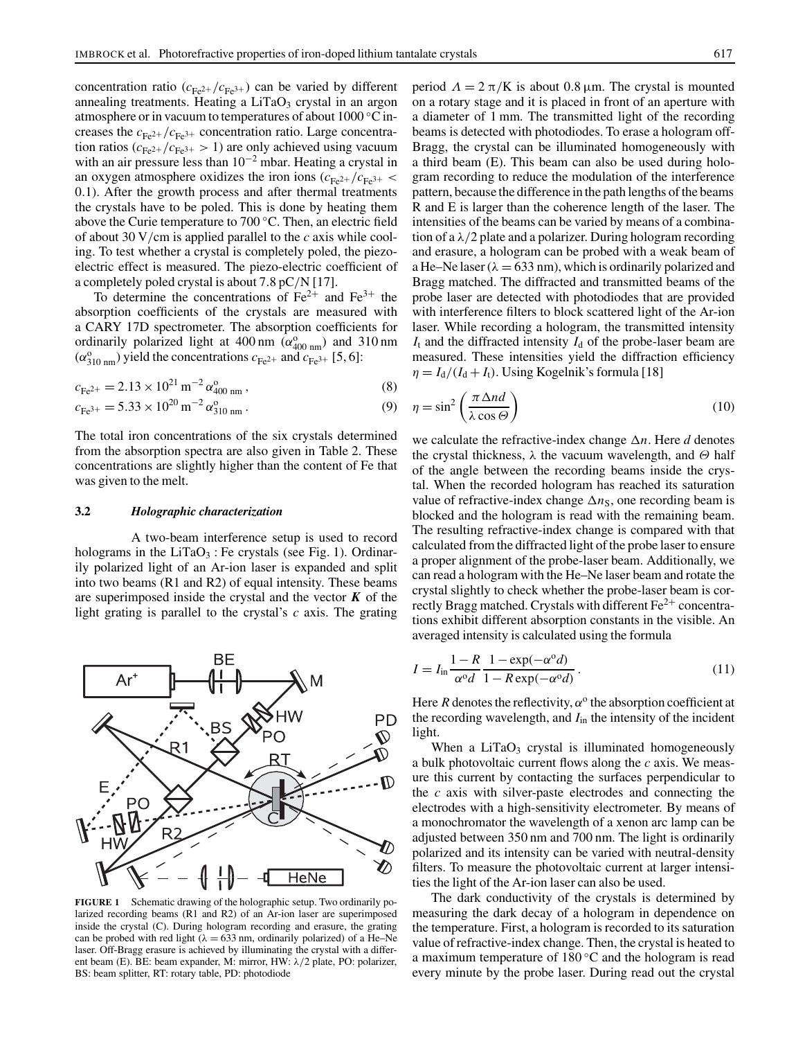concentration ratio ( $c_{Fe^{2+}}/c_{Fe^{3+}}$ ) can be varied by different annealing treatments. Heating a  $LiTaO<sub>3</sub>$  crystal in an argon atmosphere or in vacuum to temperatures of about 1000 ◦C increases the  $c_{Fe^{2+}}/c_{Fe^{3+}}$  concentration ratio. Large concentration ratios ( $c_{Fe^{2+}}/c_{Fe^{3+}} > 1$ ) are only achieved using vacuum with an air pressure less than  $10^{-2}$  mbar. Heating a crystal in an oxygen atmosphere oxidizes the iron ions  $(c_{\text{Fe}2+}/c_{\text{Fe}3+}$  < 0.1). After the growth process and after thermal treatments the crystals have to be poled. This is done by heating them above the Curie temperature to 700 ◦C. Then, an electric field of about 30 V/cm is applied parallel to the *c* axis while cooling. To test whether a crystal is completely poled, the piezoelectric effect is measured. The piezo-electric coefficient of a completely poled crystal is about 7.8 pC/N [17].

To determine the concentrations of  $Fe^{2+}$  and  $Fe^{3+}$  the absorption coefficients of the crystals are measured with a CARY 17D spectrometer. The absorption coefficients for ordinarily polarized light at 400 nm  $(\alpha_{400 \text{ nm}}^{\text{o}})$  and 310 nm  $(\alpha_{310 \text{ nm}}^{\text{o}})$  yield the concentrations  $c_{\text{Fe}^{2+}}$  and  $c_{\text{Fe}^{3+}}$  [5, 6]:

$$
c_{\text{Fe}^{2+}} = 2.13 \times 10^{21} \,\text{m}^{-2} \,\alpha_{400 \,\text{nm}}^0 \,, \tag{8}
$$

$$
c_{\text{Fe}^{3+}} = 5.33 \times 10^{20} \,\text{m}^{-2} \,\alpha_{310 \,\text{nm}}^{\text{o}} \,. \tag{9}
$$

The total iron concentrations of the six crystals determined from the absorption spectra are also given in Table 2. These concentrations are slightly higher than the content of Fe that was given to the melt.

#### **3.2** *Holographic characterization*

A two-beam interference setup is used to record holograms in the  $LiTaO<sub>3</sub>$ : Fe crystals (see Fig. 1). Ordinarily polarized light of an Ar-ion laser is expanded and split into two beams (R1 and R2) of equal intensity. These beams are superimposed inside the crystal and the vector  $K$  of the light grating is parallel to the crystal's *c* axis. The grating



**FIGURE 1** Schematic drawing of the holographic setup. Two ordinarily polarized recording beams (R1 and R2) of an Ar-ion laser are superimposed inside the crystal (C). During hologram recording and erasure, the grating can be probed with red light ( $\lambda = 633$  nm, ordinarily polarized) of a He–Ne laser. Off-Bragg erasure is achieved by illuminating the crystal with a different beam (E). BE: beam expander, M: mirror, HW: λ/2 plate, PO: polarizer, BS: beam splitter, RT: rotary table, PD: photodiode

period  $Λ = 2π/K$  is about 0.8 μm. The crystal is mounted on a rotary stage and it is placed in front of an aperture with a diameter of 1 mm. The transmitted light of the recording beams is detected with photodiodes. To erase a hologram off-Bragg, the crystal can be illuminated homogeneously with a third beam (E). This beam can also be used during hologram recording to reduce the modulation of the interference pattern, because the difference in the path lengths of the beams R and E is larger than the coherence length of the laser. The intensities of the beams can be varied by means of a combination of a  $\lambda/2$  plate and a polarizer. During hologram recording and erasure, a hologram can be probed with a weak beam of a He–Ne laser ( $\lambda = 633$  nm), which is ordinarily polarized and Bragg matched. The diffracted and transmitted beams of the probe laser are detected with photodiodes that are provided with interference filters to block scattered light of the Ar-ion laser. While recording a hologram, the transmitted intensity  $I_t$  and the diffracted intensity  $I_d$  of the probe-laser beam are measured. These intensities yield the diffraction efficiency  $\eta = I_d/(I_d + I_t)$ . Using Kogelnik's formula [18]

$$
\eta = \sin^2\left(\frac{\pi \Delta nd}{\lambda \cos \Theta}\right) \tag{10}
$$

we calculate the refractive-index change ∆*n*. Here *d* denotes the crystal thickness,  $\lambda$  the vacuum wavelength, and  $\Theta$  half of the angle between the recording beams inside the crystal. When the recorded hologram has reached its saturation value of refractive-index change  $\Delta n_S$ , one recording beam is blocked and the hologram is read with the remaining beam. The resulting refractive-index change is compared with that calculated from the diffracted light of the probe laser to ensure a proper alignment of the probe-laser beam. Additionally, we can read a hologram with the He–Ne laser beam and rotate the crystal slightly to check whether the probe-laser beam is correctly Bragg matched. Crystals with different  $Fe^{2+}$  concentrations exhibit different absorption constants in the visible. An averaged intensity is calculated using the formula

$$
I = I_{\text{in}} \frac{1 - R}{\alpha^{\circ} d} \frac{1 - \exp(-\alpha^{\circ} d)}{1 - R \exp(-\alpha^{\circ} d)}.
$$
\n(11)

Here *R* denotes the reflectivity,  $\alpha^{\circ}$  the absorption coefficient at the recording wavelength, and *I*in the intensity of the incident light.

When a  $LiTaO<sub>3</sub>$  crystal is illuminated homogeneously a bulk photovoltaic current flows along the *c* axis. We measure this current by contacting the surfaces perpendicular to the *c* axis with silver-paste electrodes and connecting the electrodes with a high-sensitivity electrometer. By means of a monochromator the wavelength of a xenon arc lamp can be adjusted between 350 nm and 700 nm. The light is ordinarily polarized and its intensity can be varied with neutral-density filters. To measure the photovoltaic current at larger intensities the light of the Ar-ion laser can also be used.

The dark conductivity of the crystals is determined by measuring the dark decay of a hologram in dependence on the temperature. First, a hologram is recorded to its saturation value of refractive-index change. Then, the crystal is heated to a maximum temperature of 180 ◦C and the hologram is read every minute by the probe laser. During read out the crystal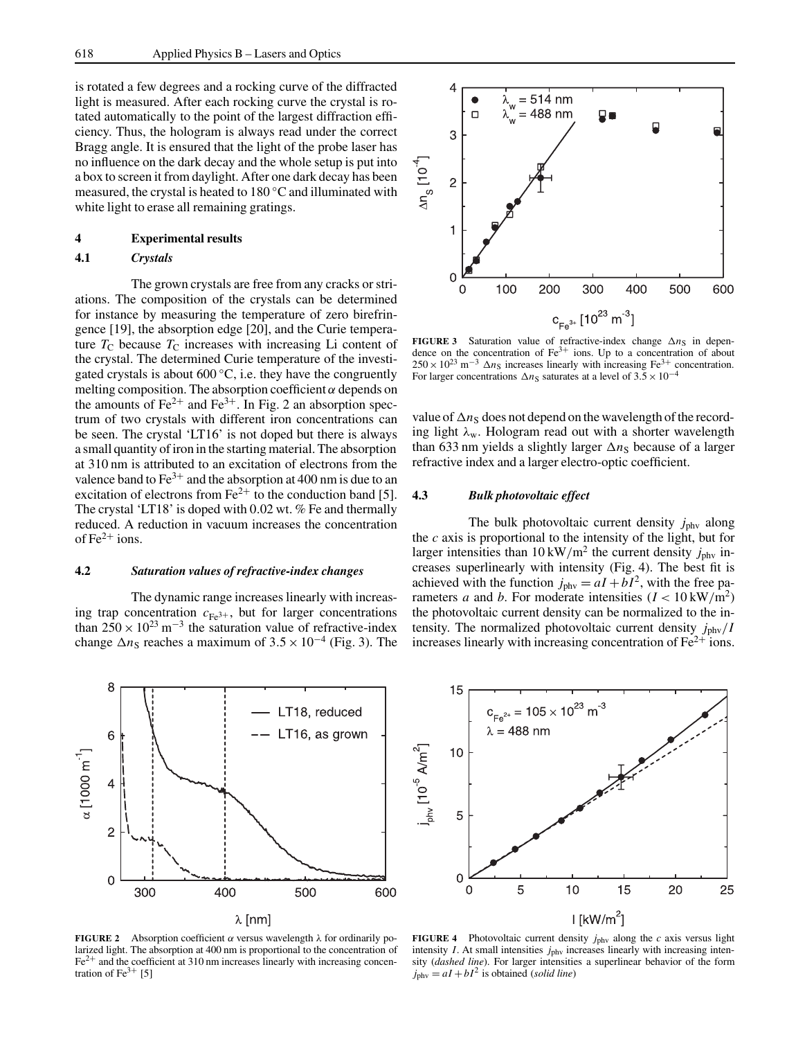is rotated a few degrees and a rocking curve of the diffracted light is measured. After each rocking curve the crystal is rotated automatically to the point of the largest diffraction efficiency. Thus, the hologram is always read under the correct Bragg angle. It is ensured that the light of the probe laser has no influence on the dark decay and the whole setup is put into a box to screen it from daylight. After one dark decay has been measured, the crystal is heated to 180 ◦C and illuminated with white light to erase all remaining gratings.

# **4 Experimental results**

# **4.1** *Crystals*

The grown crystals are free from any cracks or striations. The composition of the crystals can be determined for instance by measuring the temperature of zero birefringence [19], the absorption edge [20], and the Curie temperature  $T_C$  because  $T_C$  increases with increasing Li content of the crystal. The determined Curie temperature of the investigated crystals is about  $600 °C$ , i.e. they have the congruently melting composition. The absorption coefficient  $\alpha$  depends on the amounts of  $Fe^{2+}$  and  $Fe^{3+}$ . In Fig. 2 an absorption spectrum of two crystals with different iron concentrations can be seen. The crystal 'LT16' is not doped but there is always a small quantity of iron in the starting material. The absorption at 310 nm is attributed to an excitation of electrons from the valence band to  $Fe^{3+}$  and the absorption at 400 nm is due to an excitation of electrons from  $Fe^{2+}$  to the conduction band [5]. The crystal 'LT18' is doped with 0.02 wt. % Fe and thermally reduced. A reduction in vacuum increases the concentration of  $Fe^{2+}$  ions.

### **4.2** *Saturation values of refractive-index changes*

The dynamic range increases linearly with increasing trap concentration  $c_{Fe^{3+}}$ , but for larger concentrations than  $250 \times 10^{23}$  m<sup>-3</sup> the saturation value of refractive-index change  $\Delta n_S$  reaches a maximum of  $3.5 \times 10^{-4}$  (Fig. 3). The



**FIGURE 2** Absorption coefficient  $\alpha$  versus wavelength  $\lambda$  for ordinarily polarized light. The absorption at 400 nm is proportional to the concentration of  $Fe<sup>2+</sup>$  and the coefficient at 310 nm increases linearly with increasing concentration of  $Fe^{3+}$  [5]



**FIGURE 3** Saturation value of refractive-index change  $\Delta n_S$  in dependence on the concentration of Fe<sup>3+</sup> ions. Up to a concentration of about  $250 \times 10^{23}$  m<sup>-3</sup>  $\Delta n_S$  increases linearly with increasing Fe<sup>3+</sup> concentration. For larger concentrations  $\Delta n_S$  saturates at a level of 3.5 × 10<sup>-4</sup>

value of ∆*n*<sub>S</sub> does not depend on the wavelength of the recording light  $\lambda_w$ . Hologram read out with a shorter wavelength than 633 nm yields a slightly larger ∆*n*<sub>S</sub> because of a larger refractive index and a larger electro-optic coefficient.

## **4.3** *Bulk photovoltaic effect*

The bulk photovoltaic current density *j*<sub>phy</sub> along the *c* axis is proportional to the intensity of the light, but for larger intensities than  $10 \text{ kW/m}^2$  the current density  $j_{\text{phy}}$  increases superlinearly with intensity (Fig. 4). The best fit is achieved with the function  $j_{\text{phy}} = aI + bI^2$ , with the free parameters *a* and *b*. For moderate intensities  $(I < 10 \text{ kW/m}^2)$ the photovoltaic current density can be normalized to the intensity. The normalized photovoltaic current density *j*phv/*I* increases linearly with increasing concentration of  $Fe<sup>2+</sup>$  ions.



**FIGURE 4** Photovoltaic current density  $j_{\text{phy}}$  along the *c* axis versus light intensity  $I$ . At small intensities  $j_{\text{phv}}$  increases linearly with increasing intensity (*dashed line*). For larger intensities a superlinear behavior of the form  $j_{\text{phy}} = aI + bI^2$  is obtained (*solid line*)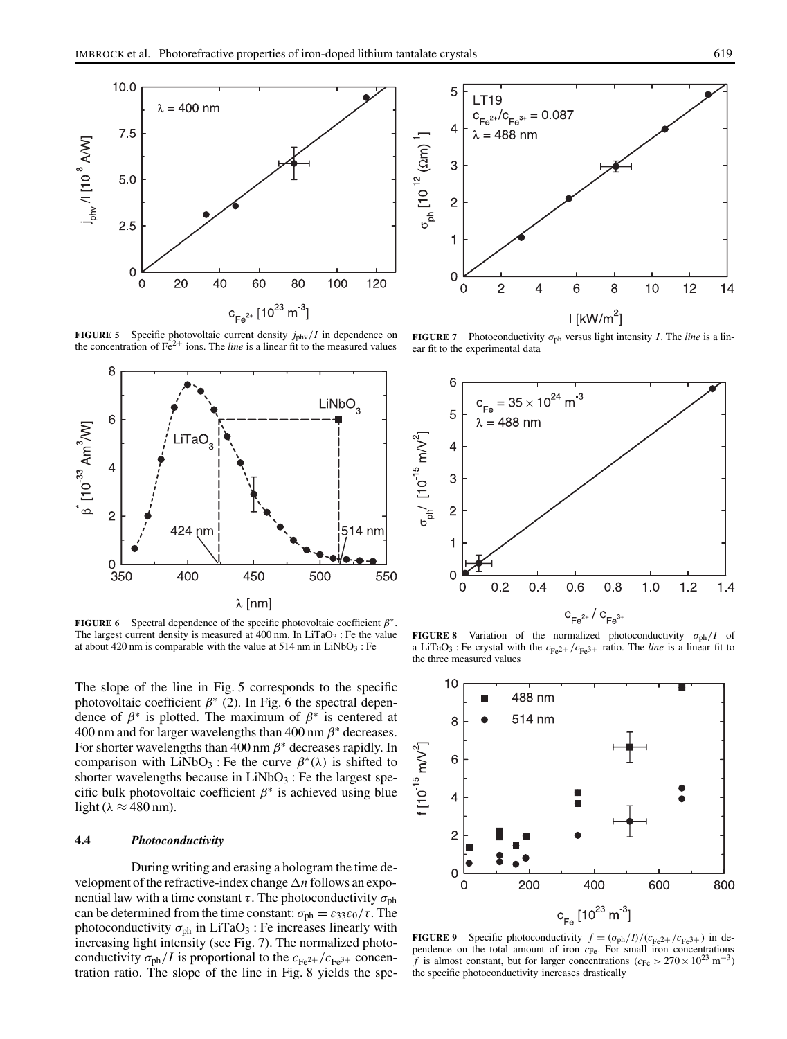

**FIGURE 5** Specific photovoltaic current density  $j_{\text{phy}}/I$  in dependence on the concentration of  $\vec{Fe}^{2+}$  ions. The *line* is a linear fit to the measured values



**FIGURE 6** Spectral dependence of the specific photovoltaic coefficient  $\beta^*$ . The largest current density is measured at  $400$  nm. In LiTaO<sub>3</sub> : Fe the value at about 420 nm is comparable with the value at  $514$  nm in LiNbO<sub>3</sub> : Fe

The slope of the line in Fig. 5 corresponds to the specific photovoltaic coefficient  $\beta^*$  (2). In Fig. 6 the spectral dependence of  $\beta^*$  is plotted. The maximum of  $\beta^*$  is centered at 400 nm and for larger wavelengths than 400 nm  $\beta^*$  decreases. For shorter wavelengths than 400 nm  $\beta^*$  decreases rapidly. In comparison with LiNbO<sub>3</sub> : Fe the curve  $\beta^*(\lambda)$  is shifted to shorter wavelengths because in  $LiNbO<sub>3</sub>$ : Fe the largest specific bulk photovoltaic coefficient  $\beta^*$  is achieved using blue light ( $\lambda \approx 480$  nm).

### **4.4** *Photoconductivity*

During writing and erasing a hologram the time development of the refractive-index change ∆*n* follows an exponential law with a time constant  $\tau$ . The photoconductivity  $\sigma_{\rm ph}$ can be determined from the time constant:  $\sigma_{ph} = \varepsilon_{33} \varepsilon_0 / \tau$ . The photoconductivity  $\sigma_{ph}$  in LiTaO<sub>3</sub> : Fe increases linearly with increasing light intensity (see Fig. 7). The normalized photoconductivity  $\sigma_{ph}/I$  is proportional to the  $c_{Fe^{2+}}/c_{Fe^{3+}}$  concentration ratio. The slope of the line in Fig. 8 yields the spe-



**FIGURE 7** Photoconductivity  $\sigma_{ph}$  versus light intensity *I*. The *line* is a linear fit to the experimental data



**FIGURE 8** Variation of the normalized photoconductivity  $\sigma_{ph}/I$  of a LiTaO<sub>3</sub>: Fe crystal with the  $c_{Fe^{2+}}/c_{Fe^{3+}}$  ratio. The *line* is a linear fit to the three measured values



**FIGURE 9** Specific photoconductivity  $f = (\sigma_{ph}/I)/ (c_{Fe2} + / c_{Fe3+})$  in dependence on the total amount of iron *c*<sub>Fe</sub>. For small iron concentrations *f* is almost constant, but for larger concentrations ( $c_{Fe} > 270 \times 10^{23}$  m<sup>-3</sup>) the specific photoconductivity increases drastically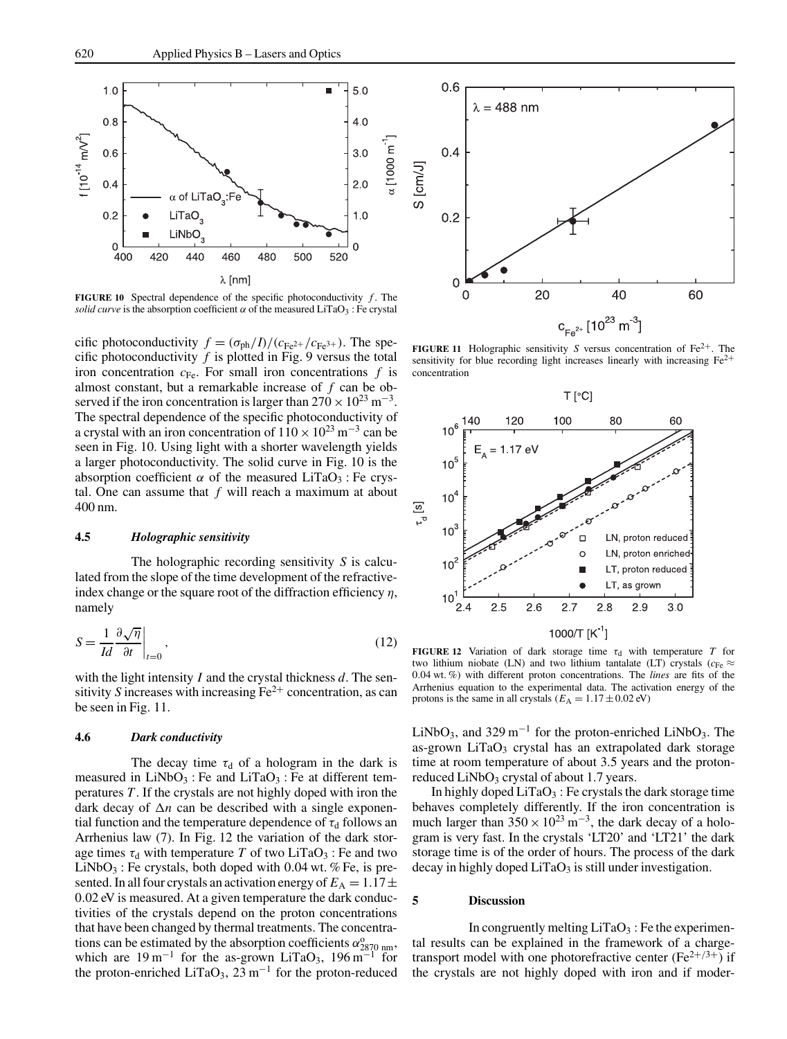

**FIGURE 10** Spectral dependence of the specific photoconductivity  $f$ . The *solid curve* is the absorption coefficient  $\alpha$  of the measured LiTaO<sub>3</sub> : Fe crystal

cific photoconductivity  $f = (\sigma_{ph}/I)/(c_{Fe^{2+}}/c_{Fe^{3+}})$ . The specific photoconductivity  $f$  is plotted in Fig. 9 versus the total iron concentration  $c_{Fe}$ . For small iron concentrations  $f$  is almost constant, but a remarkable increase of *f* can be observed if the iron concentration is larger than  $270 \times 10^{23}$  m<sup>-3</sup>. The spectral dependence of the specific photoconductivity of a crystal with an iron concentration of  $110 \times 10^{23}$  m<sup>-3</sup> can be seen in Fig. 10. Using light with a shorter wavelength yields a larger photoconductivity. The solid curve in Fig. 10 is the absorption coefficient  $\alpha$  of the measured LiTaO<sub>3</sub> : Fe crystal. One can assume that *f* will reach a maximum at about 400 nm.

## **4.5** *Holographic sensitivity*

The holographic recording sensitivity *S* is calculated from the slope of the time development of the refractiveindex change or the square root of the diffraction efficiency  $\eta$ , namely

$$
S = \frac{1}{Id} \frac{\partial \sqrt{\eta}}{\partial t} \bigg|_{t=0},\tag{12}
$$

with the light intensity *I* and the crystal thickness *d*. The sensitivity *S* increases with increasing  $Fe^{2+}$  concentration, as can be seen in Fig. 11.

#### **4.6** *Dark conductivity*

The decay time  $\tau_d$  of a hologram in the dark is measured in  $LiNbO<sub>3</sub>$ : Fe and  $LiTaO<sub>3</sub>$ : Fe at different temperatures *T*. If the crystals are not highly doped with iron the dark decay of ∆*n* can be described with a single exponential function and the temperature dependence of  $\tau_d$  follows an Arrhenius law (7). In Fig. 12 the variation of the dark storage times  $\tau_d$  with temperature *T* of two LiTaO<sub>3</sub> : Fe and two  $LiNbO<sub>3</sub>$ : Fe crystals, both doped with 0.04 wt. % Fe, is presented. In all four crystals an activation energy of  $E_A = 1.17 \pm$ 0.02 eV is measured. At a given temperature the dark conductivities of the crystals depend on the proton concentrations that have been changed by thermal treatments. The concentrations can be estimated by the absorption coefficients  $\alpha_{2870\ \text{nm}}^{\text{o}}$ , which are  $19 \text{ m}^{-1}$  for the as-grown LiTaO<sub>3</sub>,  $196 \text{ m}^{-1}$  for the proton-enriched LiTaO<sub>3</sub>,  $23 \text{ m}^{-1}$  for the proton-reduced



**FIGURE 11** Holographic sensitivity *S* versus concentration of  $Fe^{2+}$ . The sensitivity for blue recording light increases linearly with increasing  $Fe<sup>2+</sup>$ concentration



**FIGURE 12** Variation of dark storage time  $\tau_d$  with temperature *T* for two lithium niobate (LN) and two lithium tantalate (LT) crystals ( $c_{Fe} \approx$ 0.04 wt. %) with different proton concentrations. The *lines* are fits of the Arrhenius equation to the experimental data. The activation energy of the protons is the same in all crystals ( $E_A = 1.17 \pm 0.02$  eV)

LiNbO<sub>3</sub>, and 329 m<sup>-1</sup> for the proton-enriched LiNbO<sub>3</sub>. The as-grown  $LiTaO<sub>3</sub>$  crystal has an extrapolated dark storage time at room temperature of about 3.5 years and the protonreduced  $LiNbO<sub>3</sub>$  crystal of about 1.7 years.

In highly doped  $LiTaO_3$ : Fe crystals the dark storage time behaves completely differently. If the iron concentration is much larger than  $350 \times 10^{23}$  m<sup>-3</sup>, the dark decay of a hologram is very fast. In the crystals 'LT20' and 'LT21' the dark storage time is of the order of hours. The process of the dark decay in highly doped  $LiTaO<sub>3</sub>$  is still under investigation.

#### **5 Discussion**

In congruently melting  $LiTaO<sub>3</sub>$ : Fe the experimental results can be explained in the framework of a chargetransport model with one photorefractive center ( $Fe^{2+/3+}$ ) if the crystals are not highly doped with iron and if moder-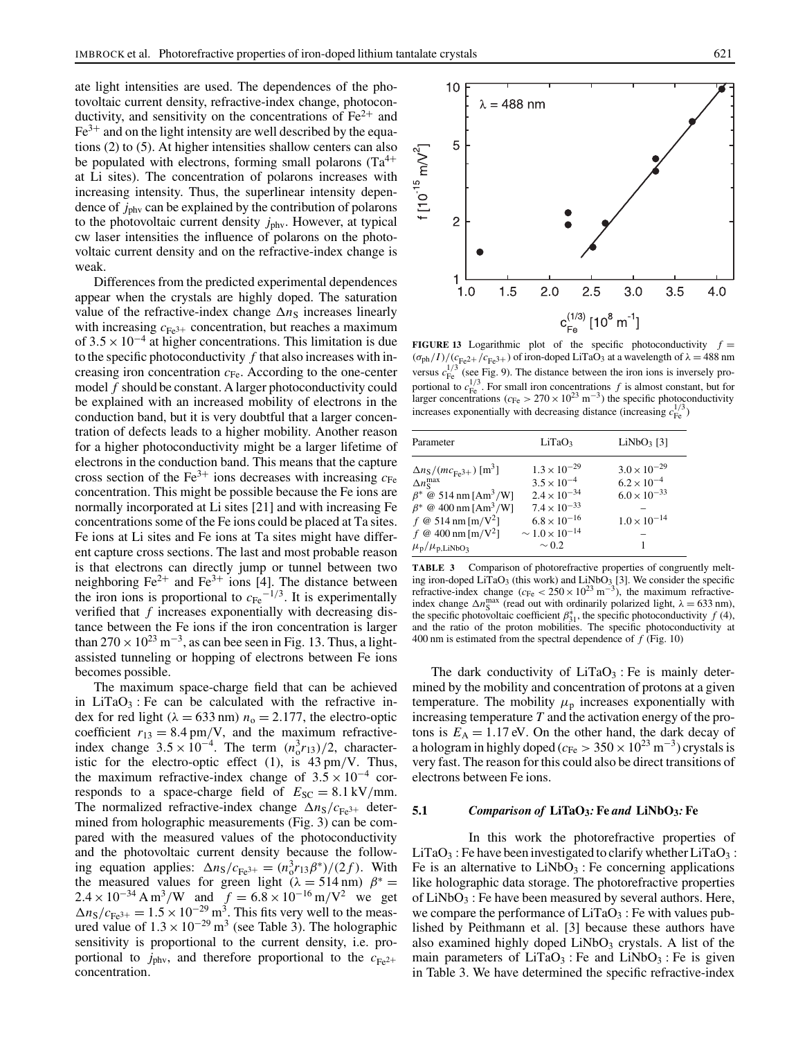ate light intensities are used. The dependences of the photovoltaic current density, refractive-index change, photoconductivity, and sensitivity on the concentrations of  $Fe<sup>2+</sup>$  and  $Fe<sup>3+</sup>$  and on the light intensity are well described by the equations (2) to (5). At higher intensities shallow centers can also be populated with electrons, forming small polarons  $(Ta^{4+})$ at Li sites). The concentration of polarons increases with increasing intensity. Thus, the superlinear intensity dependence of *j*phv can be explained by the contribution of polarons to the photovoltaic current density *j*phv. However, at typical cw laser intensities the influence of polarons on the photovoltaic current density and on the refractive-index change is weak.

Differences from the predicted experimental dependences appear when the crystals are highly doped. The saturation value of the refractive-index change  $\Delta n_S$  increases linearly with increasing  $c_{\text{Fe}3+}$  concentration, but reaches a maximum of  $3.5 \times 10^{-4}$  at higher concentrations. This limitation is due to the specific photoconductivity *f* that also increases with increasing iron concentration  $c_{\text{Fe}}$ . According to the one-center model *f* should be constant. A larger photoconductivity could be explained with an increased mobility of electrons in the conduction band, but it is very doubtful that a larger concentration of defects leads to a higher mobility. Another reason for a higher photoconductivity might be a larger lifetime of electrons in the conduction band. This means that the capture cross section of the Fe<sup>3+</sup> ions decreases with increasing  $c_{\text{Fe}}$ concentration. This might be possible because the Fe ions are normally incorporated at Li sites [21] and with increasing Fe concentrations some of the Fe ions could be placed at Ta sites. Fe ions at Li sites and Fe ions at Ta sites might have different capture cross sections. The last and most probable reason is that electrons can directly jump or tunnel between two neighboring  $Fe^{2+}$  and  $Fe^{3+}$  ions [4]. The distance between the iron ions is proportional to  $c_{Fe}$ <sup>-1/3</sup>. It is experimentally verified that *f* increases exponentially with decreasing distance between the Fe ions if the iron concentration is larger than  $270 \times 10^{23}$  m<sup>-3</sup>, as can bee seen in Fig. 13. Thus, a lightassisted tunneling or hopping of electrons between Fe ions becomes possible.

The maximum space-charge field that can be achieved in LiTaO<sub>3</sub>: Fe can be calculated with the refractive index for red light ( $\lambda = 633$  nm)  $n_0 = 2.177$ , the electro-optic coefficient  $r_{13} = 8.4$  pm/V, and the maximum refractiveindex change  $3.5 \times 10^{-4}$ . The term  $(n_0^3 r_{13})/2$ , characteristic for the electro-optic effect (1), is 43 pm/V. Thus, the maximum refractive-index change of  $3.5 \times 10^{-4}$  corresponds to a space-charge field of  $E_{SC} = 8.1 \text{ kV/mm}$ . The normalized refractive-index change  $\Delta n_S/c_{Fe^{3+}}$  determined from holographic measurements (Fig. 3) can be compared with the measured values of the photoconductivity and the photovoltaic current density because the following equation applies:  $\Delta n_S/c_{Fe^{3+}} = (n_o^3 r_{13}\beta^*)/(2f)$ . With the measured values for green light ( $\lambda = 514$  nm)  $\beta^* =$  $2.4 \times 10^{-34}$  A m<sup>3</sup>/W and  $f = 6.8 \times 10^{-16}$  m/V<sup>2</sup> we get  $\Delta n_S/c_{Fe^{3+}} = 1.5 \times 10^{-29}$  m<sup>3</sup>. This fits very well to the measured value of  $1.3 \times 10^{-29}$  m<sup>3</sup> (see Table 3). The holographic sensitivity is proportional to the current density, i.e. proportional to  $j_{\text{phv}}$ , and therefore proportional to the  $c_{\text{Fe}2+}$ concentration.



**FIGURE 13** Logarithmic plot of the specific photoconductivity  $f =$  $(\sigma_{ph}/I)/(c_{Fe^2+}/c_{Fe^3+})$  of iron-doped LiTaO<sub>3</sub> at a wavelength of  $\lambda = 488$  nm versus  $c_{\text{Fe}}^{1/3}$  (see Fig. 9). The distance between the iron ions is inversely pro-1/3 portional to  $c_{\text{Fe}}^{1/3}$ . For small iron concentrations *f* is almost constant, but for larger concentrations ( $c_{\text{Fe}} > 270 \times 10^{23} \text{ m}^{-3}$ ) the specific photoconductivity increases exponentially with decreasing distance (increasing  $c_{\text{Fe}}^{1/3}$ )

| Parameter                                                                                                                                                                                                                                                                                                                            | LiTaO <sub>3</sub>                                                                                                                                                   | $LiNbO3$ [3]                                                                                  |
|--------------------------------------------------------------------------------------------------------------------------------------------------------------------------------------------------------------------------------------------------------------------------------------------------------------------------------------|----------------------------------------------------------------------------------------------------------------------------------------------------------------------|-----------------------------------------------------------------------------------------------|
| $\Delta n_{\rm S}/(m c_{\rm Fe3+})$ [m <sup>3</sup> ]<br>$\Delta n_{\rm S}^{\rm max}$<br>$\beta^* \otimes 514 \text{ nm} [\text{Am}^3/\text{W}]$<br>$\beta^* \otimes 400 \text{ nm} [\text{Am}^3/\text{W}]$<br>f @ 514 nm [m/V <sup>2</sup> ]<br>$f \otimes 400 \text{ nm}$ [m/V <sup>2</sup> ]<br>$\mu_{\rm p}/\mu_{\rm p,LiNbO_3}$ | $1.3 \times 10^{-29}$<br>$3.5 \times 10^{-4}$<br>$2.4 \times 10^{-34}$<br>$7.4 \times 10^{-33}$<br>$6.8 \times 10^{-16}$<br>$\sim 1.0 \times 10^{-14}$<br>$\sim 0.2$ | $3.0 \times 10^{-29}$<br>$6.2\times10^{-4}$<br>$6.0 \times 10^{-33}$<br>$1.0 \times 10^{-14}$ |

**TABLE 3** Comparison of photorefractive properties of congruently melting iron-doped LiTaO<sub>3</sub> (this work) and LiNbO<sub>3</sub> [3]. We consider the specific refractive-index change ( $c_{\text{Fe}} < 250 \times 10^{23} \text{ m}^{-3}$ ), the maximum refractiveindex change  $\Delta n_{\rm S}^{\rm max}$  (read out with ordinarily polarized light,  $\lambda = 633$  nm), the specific photovoltaic coefficient  $\beta_{31}^*$ , the specific photoconductivity *f* (4), and the ratio of the proton mobilities. The specific photoconductivity at 400 nm is estimated from the spectral dependence of *f* (Fig. 10)

The dark conductivity of  $LiTaO<sub>3</sub>$ : Fe is mainly determined by the mobility and concentration of protons at a given temperature. The mobility  $\mu_{\rm p}$  increases exponentially with increasing temperature *T* and the activation energy of the protons is  $E_A = 1.17$  eV. On the other hand, the dark decay of a hologram in highly doped ( $c_{Fe} > 350 \times 10^{23}$  m<sup>-3</sup>) crystals is very fast. The reason for this could also be direct transitions of electrons between Fe ions.

#### **5.1** *Comparison of* **LiTaO3***:* **Fe** *and* **LiNbO3***:* **Fe**

In this work the photorefractive properties of  $LiTaO<sub>3</sub>$ : Fe have been investigated to clarify whether  $LiTaO<sub>3</sub>$ : Fe is an alternative to  $LiNbO<sub>3</sub>$ : Fe concerning applications like holographic data storage. The photorefractive properties of  $LiNbO<sub>3</sub>$ : Fe have been measured by several authors. Here, we compare the performance of  $LiTaO<sub>3</sub>$ : Fe with values published by Peithmann et al. [3] because these authors have also examined highly doped  $LiNbO<sub>3</sub>$  crystals. A list of the main parameters of  $LiTaO<sub>3</sub>$ : Fe and  $LiNbO<sub>3</sub>$ : Fe is given in Table 3. We have determined the specific refractive-index